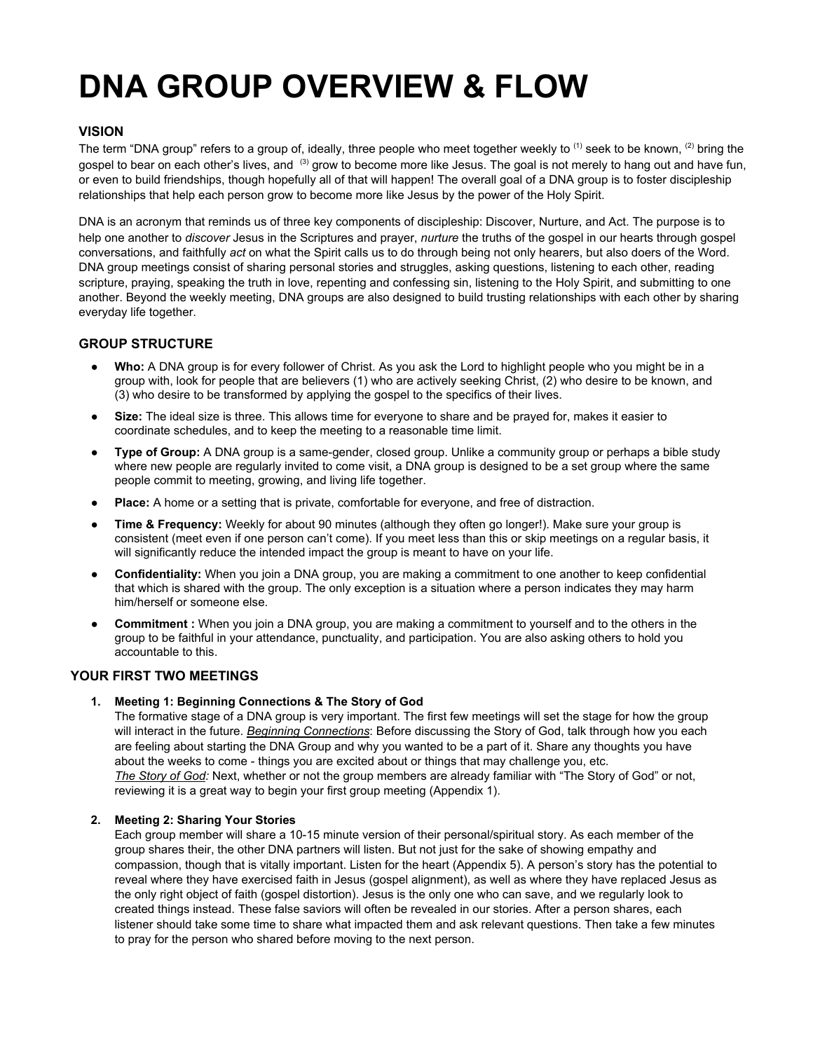# **DNA GROUP OVERVIEW & FLOW**

## **VISION**

The term "DNA group" refers to a group of, ideally, three people who meet together weekly to  $^{(1)}$  seek to be known,  $^{(2)}$  bring the gospel to bear on each other's lives, and <sup>(3)</sup> grow to become more like Jesus. The goal is not merely to hang out and have fun, or even to build friendships, though hopefully all of that will happen! The overall goal of a DNA group is to foster discipleship relationships that help each person grow to become more like Jesus by the power of the Holy Spirit.

DNA is an acronym that reminds us of three key components of discipleship: Discover, Nurture, and Act. The purpose is to help one another to *discover* Jesus in the Scriptures and prayer, *nurture* the truths of the gospel in our hearts through gospel conversations, and faithfully *act* on what the Spirit calls us to do through being not only hearers, but also doers of the Word. DNA group meetings consist of sharing personal stories and struggles, asking questions, listening to each other, reading scripture, praying, speaking the truth in love, repenting and confessing sin, listening to the Holy Spirit, and submitting to one another. Beyond the weekly meeting, DNA groups are also designed to build trusting relationships with each other by sharing everyday life together.

### **GROUP STRUCTURE**

- Who: A DNA group is for every follower of Christ. As you ask the Lord to highlight people who you might be in a group with, look for people that are believers (1) who are actively seeking Christ, (2) who desire to be known, and (3) who desire to be transformed by applying the gospel to the specifics of their lives.
- **Size:** The ideal size is three. This allows time for everyone to share and be prayed for, makes it easier to coordinate schedules, and to keep the meeting to a reasonable time limit.
- **Type of Group:** A DNA group is a same-gender, closed group. Unlike a community group or perhaps a bible study where new people are regularly invited to come visit, a DNA group is designed to be a set group where the same people commit to meeting, growing, and living life together.
- **Place:** A home or a setting that is private, comfortable for everyone, and free of distraction.
- **● Time & Frequency:** Weekly for about 90 minutes (although they often go longer!). Make sure your group is consistent (meet even if one person can't come). If you meet less than this or skip meetings on a regular basis, it will significantly reduce the intended impact the group is meant to have on your life.
- **● Confidentiality:** When you join a DNA group, you are making a commitment to one another to keep confidential that which is shared with the group. The only exception is a situation where a person indicates they may harm him/herself or someone else.
- **● Commitment :** When you join a DNA group, you are making a commitment to yourself and to the others in the group to be faithful in your attendance, punctuality, and participation. You are also asking others to hold you accountable to this.

### **YOUR FIRST TWO MEETINGS**

#### **1. Meeting 1: Beginning Connections & The Story of God**

The formative stage of a DNA group is very important. The first few meetings will set the stage for how the group will interact in the future. *Beginning Connections*: Before discussing the Story of God, talk through how you each are feeling about starting the DNA Group and why you wanted to be a part of it. Share any thoughts you have about the weeks to come - things you are excited about or things that may challenge you, etc. *The Story of God:* Next, whether or not the group members are already familiar with "The Story of God" or not, reviewing it is a great way to begin your first group meeting (Appendix 1).

#### **2. Meeting 2: Sharing Your Stories**

Each group member will share a 10-15 minute version of their personal/spiritual story. As each member of the group shares their, the other DNA partners will listen. But not just for the sake of showing empathy and compassion, though that is vitally important. Listen for the heart (Appendix 5). A person's story has the potential to reveal where they have exercised faith in Jesus (gospel alignment), as well as where they have replaced Jesus as the only right object of faith (gospel distortion). Jesus is the only one who can save, and we regularly look to created things instead. These false saviors will often be revealed in our stories. After a person shares, each listener should take some time to share what impacted them and ask relevant questions. Then take a few minutes to pray for the person who shared before moving to the next person.